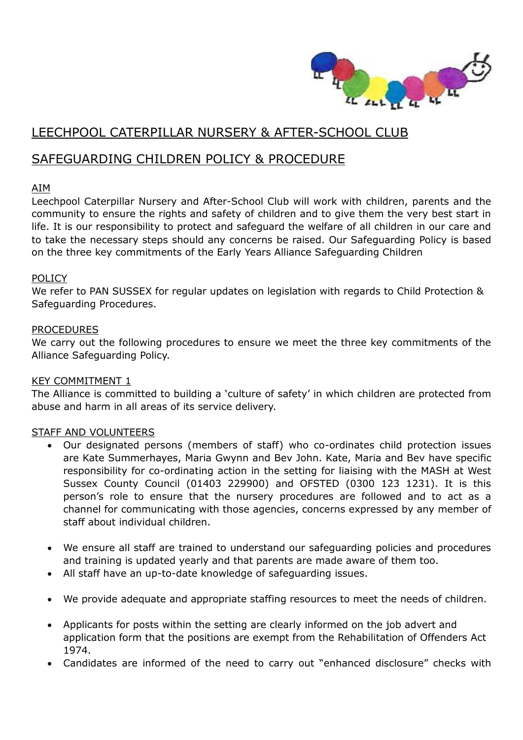

# LEECHPOOL CATERPILLAR NURSERY & AFTER-SCHOOL CLUB

## SAFEGUARDING CHILDREN POLICY & PROCEDURE

### AIM

Leechpool Caterpillar Nursery and After-School Club will work with children, parents and the community to ensure the rights and safety of children and to give them the very best start in life. It is our responsibility to protect and safeguard the welfare of all children in our care and to take the necessary steps should any concerns be raised. Our Safeguarding Policy is based on the three key commitments of the Early Years Alliance Safeguarding Children

#### **POLICY**

We refer to PAN SUSSEX for regular updates on legislation with regards to Child Protection & Safeguarding Procedures.

#### PROCEDURES

We carry out the following procedures to ensure we meet the three key commitments of the Alliance Safeguarding Policy.

## KEY COMMITMENT 1

The Alliance is committed to building a 'culture of safety' in which children are protected from abuse and harm in all areas of its service delivery.

#### STAFF AND VOLUNTEERS

- Our designated persons (members of staff) who co-ordinates child protection issues are Kate Summerhayes, Maria Gwynn and Bev John. Kate, Maria and Bev have specific responsibility for co-ordinating action in the setting for liaising with the MASH at West Sussex County Council (01403 229900) and OFSTED (0300 123 1231). It is this person's role to ensure that the nursery procedures are followed and to act as a channel for communicating with those agencies, concerns expressed by any member of staff about individual children.
- We ensure all staff are trained to understand our safeguarding policies and procedures and training is updated yearly and that parents are made aware of them too.
- All staff have an up-to-date knowledge of safeguarding issues.
- We provide adequate and appropriate staffing resources to meet the needs of children.
- Applicants for posts within the setting are clearly informed on the job advert and application form that the positions are exempt from the Rehabilitation of Offenders Act 1974.
- Candidates are informed of the need to carry out "enhanced disclosure" checks with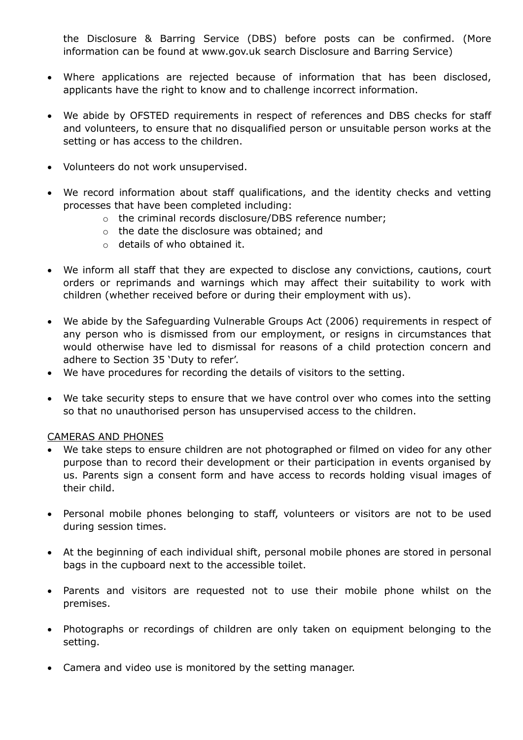the Disclosure & Barring Service (DBS) before posts can be confirmed. (More information can be found at www.gov.uk search Disclosure and Barring Service)

- Where applications are rejected because of information that has been disclosed, applicants have the right to know and to challenge incorrect information.
- We abide by OFSTED requirements in respect of references and DBS checks for staff and volunteers, to ensure that no disqualified person or unsuitable person works at the setting or has access to the children.
- Volunteers do not work unsupervised.
- We record information about staff qualifications, and the identity checks and vetting processes that have been completed including:
	- o the criminal records disclosure/DBS reference number;
	- o the date the disclosure was obtained; and
	- o details of who obtained it.
- We inform all staff that they are expected to disclose any convictions, cautions, court orders or reprimands and warnings which may affect their suitability to work with children (whether received before or during their employment with us).
- We abide by the Safeguarding Vulnerable Groups Act (2006) requirements in respect of any person who is dismissed from our employment, or resigns in circumstances that would otherwise have led to dismissal for reasons of a child protection concern and adhere to Section 35 'Duty to refer'.
- We have procedures for recording the details of visitors to the setting.
- We take security steps to ensure that we have control over who comes into the setting so that no unauthorised person has unsupervised access to the children.

#### CAMERAS AND PHONES

- We take steps to ensure children are not photographed or filmed on video for any other purpose than to record their development or their participation in events organised by us. Parents sign a consent form and have access to records holding visual images of their child.
- Personal mobile phones belonging to staff, volunteers or visitors are not to be used during session times.
- At the beginning of each individual shift, personal mobile phones are stored in personal bags in the cupboard next to the accessible toilet.
- Parents and visitors are requested not to use their mobile phone whilst on the premises.
- Photographs or recordings of children are only taken on equipment belonging to the setting.
- Camera and video use is monitored by the setting manager.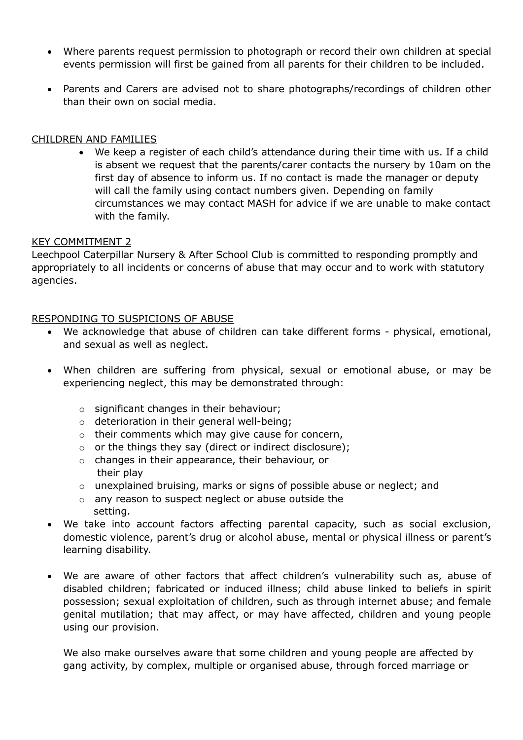- Where parents request permission to photograph or record their own children at special events permission will first be gained from all parents for their children to be included.
- Parents and Carers are advised not to share photographs/recordings of children other than their own on social media.

#### CHILDREN AND FAMILIES

 We keep a register of each child's attendance during their time with us. If a child is absent we request that the parents/carer contacts the nursery by 10am on the first day of absence to inform us. If no contact is made the manager or deputy will call the family using contact numbers given. Depending on family circumstances we may contact MASH for advice if we are unable to make contact with the family.

#### KEY COMMITMENT 2

Leechpool Caterpillar Nursery & After School Club is committed to responding promptly and appropriately to all incidents or concerns of abuse that may occur and to work with statutory agencies.

#### RESPONDING TO SUSPICIONS OF ABUSE

- We acknowledge that abuse of children can take different forms physical, emotional, and sexual as well as neglect.
- When children are suffering from physical, sexual or emotional abuse, or may be experiencing neglect, this may be demonstrated through:
	- o significant changes in their behaviour;
	- o deterioration in their general well-being;
	- o their comments which may give cause for concern,
	- o or the things they say (direct or indirect disclosure);
	- o changes in their appearance, their behaviour, or their play
	- o unexplained bruising, marks or signs of possible abuse or neglect; and
	- o any reason to suspect neglect or abuse outside the setting.
- We take into account factors affecting parental capacity, such as social exclusion, domestic violence, parent's drug or alcohol abuse, mental or physical illness or parent's learning disability.
- We are aware of other factors that affect children's vulnerability such as, abuse of disabled children; fabricated or induced illness; child abuse linked to beliefs in spirit possession; sexual exploitation of children, such as through internet abuse; and female genital mutilation; that may affect, or may have affected, children and young people using our provision.

We also make ourselves aware that some children and young people are affected by gang activity, by complex, multiple or organised abuse, through forced marriage or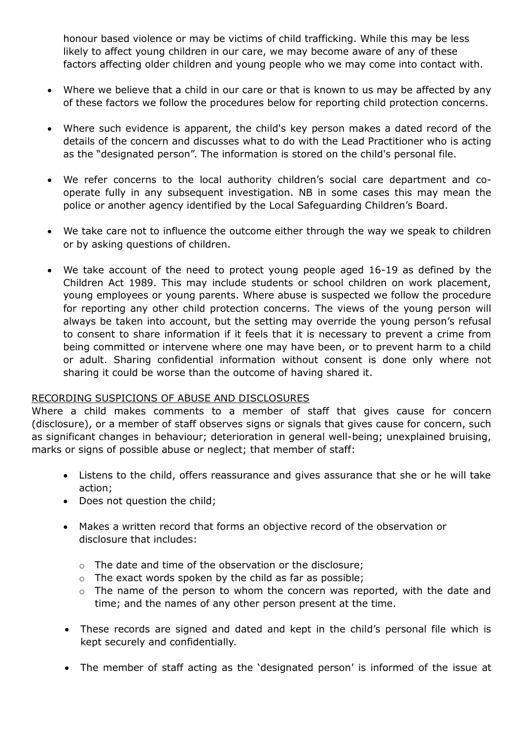honour based violence or may be victims of child trafficking. While this may be less likely to affect young children in our care, we may become aware of any of these factors affecting older children and young people who we may come into contact with.

- Where we believe that a child in our care or that is known to us may be affected by any of these factors we follow the procedures below for reporting child protection concerns.
- Where such evidence is apparent, the child's key person makes a dated record of the details of the concern and discusses what to do with the Lead Practitioner who is acting as the "designated person". The information is stored on the child's personal file.
- We refer concerns to the local authority children's social care department and cooperate fully in any subsequent investigation. NB in some cases this may mean the police or another agency identified by the Local Safeguarding Children's Board.
- We take care not to influence the outcome either through the way we speak to children or by asking questions of children.
- We take account of the need to protect young people aged 16-19 as defined by the Children Act 1989. This may include students or school children on work placement, young employees or young parents. Where abuse is suspected we follow the procedure for reporting any other child protection concerns. The views of the young person will always be taken into account, but the setting may override the young person's refusal to consent to share information if it feels that it is necessary to prevent a crime from being committed or intervene where one may have been, or to prevent harm to a child or adult. Sharing confidential information without consent is done only where not sharing it could be worse than the outcome of having shared it.

#### RECORDING SUSPICIONS OF ABUSE AND DISCLOSURES

Where a child makes comments to a member of staff that gives cause for concern (disclosure), or a member of staff observes signs or signals that gives cause for concern, such as significant changes in behaviour; deterioration in general well-being; unexplained bruising, marks or signs of possible abuse or neglect; that member of staff:

- Listens to the child, offers reassurance and gives assurance that she or he will take action;
- Does not question the child;
- Makes a written record that forms an objective record of the observation or disclosure that includes:
	- o The date and time of the observation or the disclosure;
	- $\circ$  The exact words spoken by the child as far as possible;
	- o The name of the person to whom the concern was reported, with the date and time; and the names of any other person present at the time.
- These records are signed and dated and kept in the child's personal file which is kept securely and confidentially.
- The member of staff acting as the 'designated person' is informed of the issue at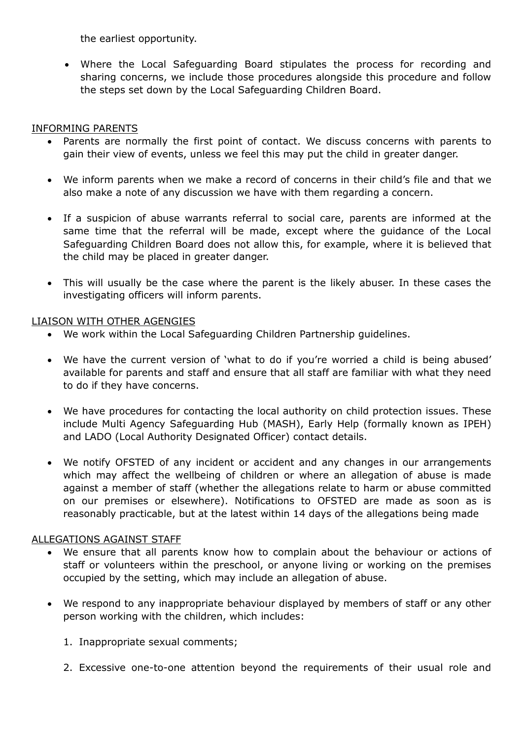the earliest opportunity.

 Where the Local Safeguarding Board stipulates the process for recording and sharing concerns, we include those procedures alongside this procedure and follow the steps set down by the Local Safeguarding Children Board.

#### INFORMING PARENTS

- Parents are normally the first point of contact. We discuss concerns with parents to gain their view of events, unless we feel this may put the child in greater danger.
- We inform parents when we make a record of concerns in their child's file and that we also make a note of any discussion we have with them regarding a concern.
- If a suspicion of abuse warrants referral to social care, parents are informed at the same time that the referral will be made, except where the guidance of the Local Safeguarding Children Board does not allow this, for example, where it is believed that the child may be placed in greater danger.
- This will usually be the case where the parent is the likely abuser. In these cases the investigating officers will inform parents.

### LIAISON WITH OTHER AGENGIES

- We work within the Local Safeguarding Children Partnership guidelines.
- We have the current version of 'what to do if you're worried a child is being abused' available for parents and staff and ensure that all staff are familiar with what they need to do if they have concerns.
- We have procedures for contacting the local authority on child protection issues. These include Multi Agency Safeguarding Hub (MASH), Early Help (formally known as IPEH) and LADO (Local Authority Designated Officer) contact details.
- We notify OFSTED of any incident or accident and any changes in our arrangements which may affect the wellbeing of children or where an allegation of abuse is made against a member of staff (whether the allegations relate to harm or abuse committed on our premises or elsewhere). Notifications to OFSTED are made as soon as is reasonably practicable, but at the latest within 14 days of the allegations being made

## ALLEGATIONS AGAINST STAFF

- We ensure that all parents know how to complain about the behaviour or actions of staff or volunteers within the preschool, or anyone living or working on the premises occupied by the setting, which may include an allegation of abuse.
- We respond to any inappropriate behaviour displayed by members of staff or any other person working with the children, which includes:
	- 1. Inappropriate sexual comments;
	- 2. Excessive one-to-one attention beyond the requirements of their usual role and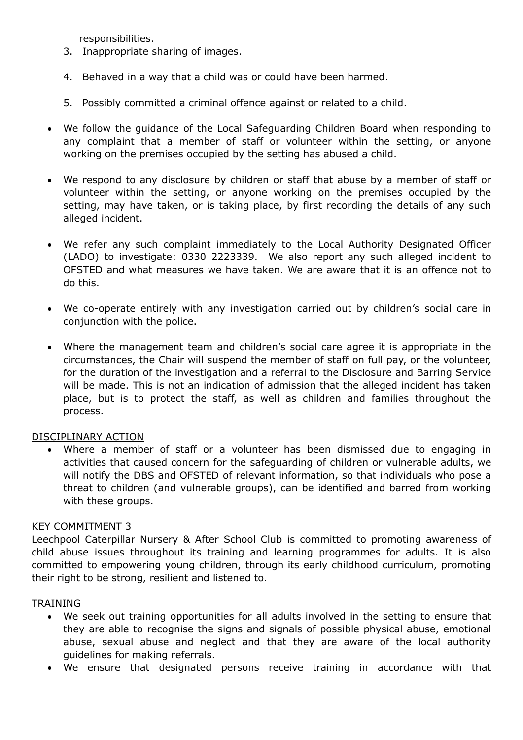responsibilities.

- 3. Inappropriate sharing of images.
- 4. Behaved in a way that a child was or could have been harmed.
- 5. Possibly committed a criminal offence against or related to a child.
- We follow the guidance of the Local Safeguarding Children Board when responding to any complaint that a member of staff or volunteer within the setting, or anyone working on the premises occupied by the setting has abused a child.
- We respond to any disclosure by children or staff that abuse by a member of staff or volunteer within the setting, or anyone working on the premises occupied by the setting, may have taken, or is taking place, by first recording the details of any such alleged incident.
- We refer any such complaint immediately to the Local Authority Designated Officer (LADO) to investigate: 0330 2223339. We also report any such alleged incident to OFSTED and what measures we have taken. We are aware that it is an offence not to do this.
- We co-operate entirely with any investigation carried out by children's social care in conjunction with the police.
- Where the management team and children's social care agree it is appropriate in the circumstances, the Chair will suspend the member of staff on full pay, or the volunteer, for the duration of the investigation and a referral to the Disclosure and Barring Service will be made. This is not an indication of admission that the alleged incident has taken place, but is to protect the staff, as well as children and families throughout the process.

#### DISCIPLINARY ACTION

 Where a member of staff or a volunteer has been dismissed due to engaging in activities that caused concern for the safeguarding of children or vulnerable adults, we will notify the DBS and OFSTED of relevant information, so that individuals who pose a threat to children (and vulnerable groups), can be identified and barred from working with these groups.

#### KEY COMMITMENT 3

Leechpool Caterpillar Nursery & After School Club is committed to promoting awareness of child abuse issues throughout its training and learning programmes for adults. It is also committed to empowering young children, through its early childhood curriculum, promoting their right to be strong, resilient and listened to.

#### TRAINING

- We seek out training opportunities for all adults involved in the setting to ensure that they are able to recognise the signs and signals of possible physical abuse, emotional abuse, sexual abuse and neglect and that they are aware of the local authority guidelines for making referrals.
- We ensure that designated persons receive training in accordance with that